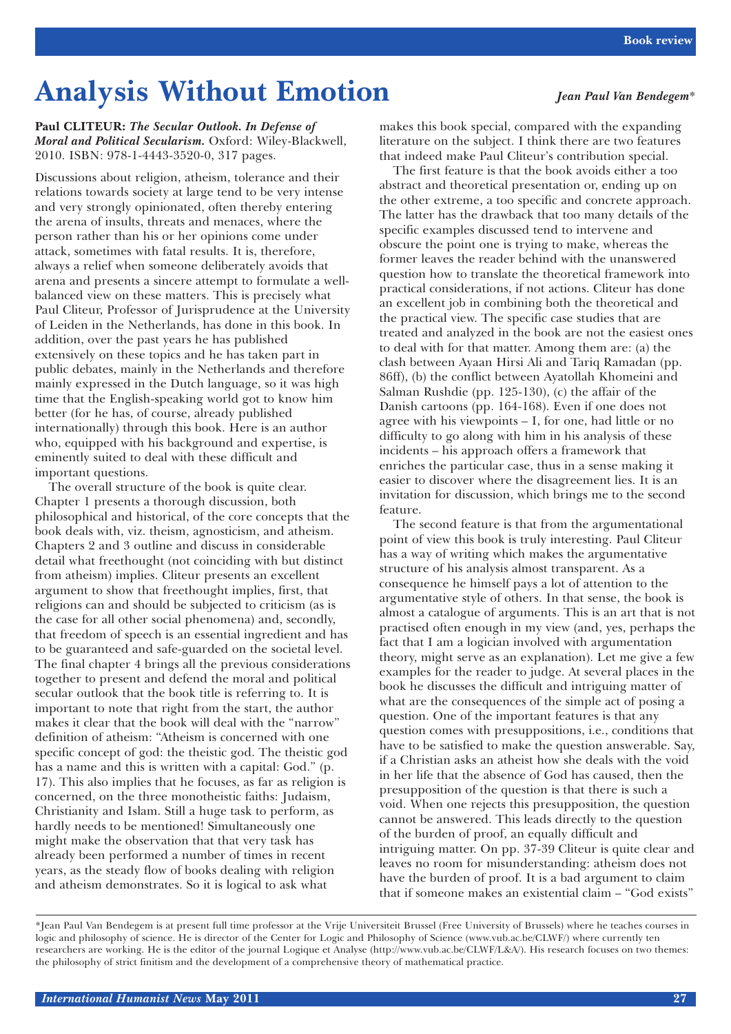## **Analysis Without Emotion** *Jean Paul Van Bendegem*\*

**Paul CLITEUR:** *The Secular Outlook. In Defense of Moral and Political Secularism.* Oxford: Wiley-Blackwell, 2010. ISBN: 978-1-4443-3520-0, 317 pages.

Discussions about religion, atheism, tolerance and their relations towards society at large tend to be very intense and very strongly opinionated, often thereby entering the arena of insults, threats and menaces, where the person rather than his or her opinions come under attack, sometimes with fatal results. It is, therefore, always a relief when someone deliberately avoids that arena and presents a sincere attempt to formulate a wellbalanced view on these matters. This is precisely what Paul Cliteur, Professor of Jurisprudence at the University of Leiden in the Netherlands, has done in this book. In addition, over the past years he has published extensively on these topics and he has taken part in public debates, mainly in the Netherlands and therefore mainly expressed in the Dutch language, so it was high time that the English-speaking world got to know him better (for he has, of course, already published internationally) through this book. Here is an author who, equipped with his background and expertise, is eminently suited to deal with these difficult and important questions.

The overall structure of the book is quite clear. Chapter 1 presents a thorough discussion, both philosophical and historical, of the core concepts that the book deals with, viz. theism, agnosticism, and atheism. Chapters 2 and 3 outline and discuss in considerable detail what freethought (not coinciding with but distinct from atheism) implies. Cliteur presents an excellent argument to show that freethought implies, first, that religions can and should be subjected to criticism (as is the case for all other social phenomena) and, secondly, that freedom of speech is an essential ingredient and has to be guaranteed and safe-guarded on the societal level. The final chapter 4 brings all the previous considerations together to present and defend the moral and political secular outlook that the book title is referring to. It is important to note that right from the start, the author makes it clear that the book will deal with the "narrow" definition of atheism: "Atheism is concerned with one specific concept of god: the theistic god. The theistic god has a name and this is written with a capital: God." (p. 17). This also implies that he focuses, as far as religion is concerned, on the three monotheistic faiths: Judaism, Christianity and Islam. Still a huge task to perform, as hardly needs to be mentioned! Simultaneously one might make the observation that that very task has already been performed a number of times in recent years, as the steady flow of books dealing with religion and atheism demonstrates. So it is logical to ask what

makes this book special, compared with the expanding literature on the subject. I think there are two features that indeed make Paul Cliteur's contribution special.

The first feature is that the book avoids either a too abstract and theoretical presentation or, ending up on the other extreme, a too specific and concrete approach. The latter has the drawback that too many details of the specific examples discussed tend to intervene and obscure the point one is trying to make, whereas the former leaves the reader behind with the unanswered question how to translate the theoretical framework into practical considerations, if not actions. Cliteur has done an excellent job in combining both the theoretical and the practical view. The specific case studies that are treated and analyzed in the book are not the easiest ones to deal with for that matter. Among them are: (a) the clash between Ayaan Hirsi Ali and Tariq Ramadan (pp. 86ff), (b) the conflict between Ayatollah Khomeini and Salman Rushdie (pp. 125-130), (c) the affair of the Danish cartoons (pp. 164-168). Even if one does not agree with his viewpoints – I, for one, had little or no difficulty to go along with him in his analysis of these incidents – his approach offers a framework that enriches the particular case, thus in a sense making it easier to discover where the disagreement lies. It is an invitation for discussion, which brings me to the second feature.

The second feature is that from the argumentational point of view this book is truly interesting. Paul Cliteur has a way of writing which makes the argumentative structure of his analysis almost transparent. As a consequence he himself pays a lot of attention to the argumentative style of others. In that sense, the book is almost a catalogue of arguments. This is an art that is not practised often enough in my view (and, yes, perhaps the fact that I am a logician involved with argumentation theory, might serve as an explanation). Let me give a few examples for the reader to judge. At several places in the book he discusses the difficult and intriguing matter of what are the consequences of the simple act of posing a question. One of the important features is that any question comes with presuppositions, i.e., conditions that have to be satisfied to make the question answerable. Say, if a Christian asks an atheist how she deals with the void in her life that the absence of God has caused, then the presupposition of the question is that there is such a void. When one rejects this presupposition, the question cannot be answered. This leads directly to the question of the burden of proof, an equally difficult and intriguing matter. On pp. 37-39 Cliteur is quite clear and leaves no room for misunderstanding: atheism does not have the burden of proof. It is a bad argument to claim that if someone makes an existential claim – "God exists"

<sup>\*</sup>Jean Paul Van Bendegem is at present full time professor at the Vrije Universiteit Brussel (Free University of Brussels) where he teaches courses in logic and philosophy of science. He is director of the Center for Logic and Philosophy of Science (www.vub.ac.be/CLWF/) where currently ten researchers are working. He is the editor of the journal Logique et Analyse (http://www.vub.ac.be/CLWF/L&A/). His research focuses on two themes: the philosophy of strict finitism and the development of a comprehensive theory of mathematical practice.